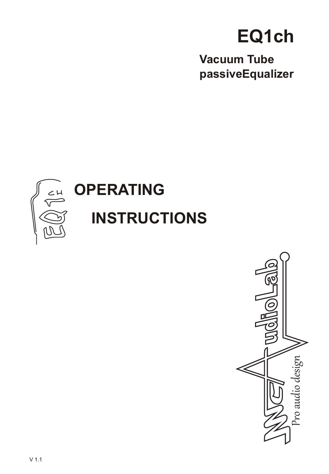# EQ1ch

**Vacuum Tube** passiveEqualizer



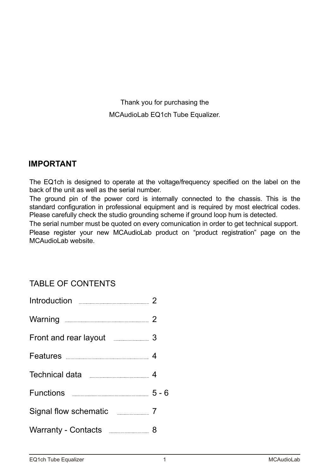Thank you for purchasing the MCAudioLab EQ1ch Tube Equalizer.

### **IMPORTANT**

The EQ1ch is designed to operate at the voltage/frequency specified on the label on the back of the unit as well as the serial number.

The ground pin of the power cord is internally connected to the chassis. This is the standard configuration in professional equipment and is required by most electrical codes. Please carefully check the studio grounding scheme if ground loop hum is detected.

The serial number must be quoted on every comunication in order to get technical support. Please register your new MCAudioLab product on "product registration" page on the MCAudioLab website.

### TABLE OF CONTENTS

| Front and rear layout 3               |         |
|---------------------------------------|---------|
|                                       |         |
|                                       |         |
| Functions <b>Example 20</b> Functions | $5 - 6$ |
| Signal flow schematic ____________ 7  |         |
| Warranty - Contacts <b>Engineer</b> 8 |         |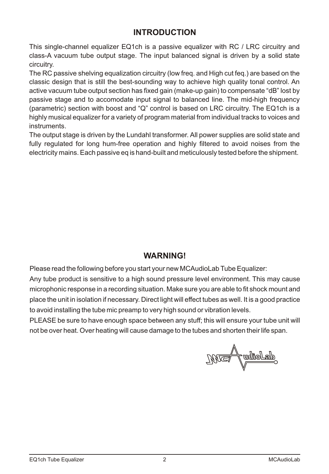### **INTRODUCTION**

This single-channel equalizer EQ1ch is a passive equalizer with RC / LRC circuitry and class-A vacuum tube output stage. The input balanced signal is driven by a solid state circuitry.

The RC passive shelving equalization circuitry (low freq. and High cut feq.) arebased on the classic design that is still the best-sounding way to achieve high quality tonal control. An active vacuum tube output section has fixed gain (make-up gain) to compensate "dB" lost by passive stage and to accomodate input signal to balanced line. The mid-high frequency (parametric) section with boost and "Q" control is based on LRC circuitry. The EQ1ch is a highly musical equalizer for a variety of program material from individual tracks to voices and instruments.

The output stage is driven by the Lundahl transformer. All power supplies are solid state and fully regulated for long hum-free operation and highly filtered to avoid noises from the electricity mains. Each passive eq is hand-built and meticulously tested before the shipment.

### **WARNING!**

Please read the following before you start your new MCAudioLab Tube Equalizer:

Any tube product is sensitive to a high sound pressure level environment. This may cause microphonic response in a recording situation. Make sure you are able to fit shock mount and place the unit in isolation if necessary. Direct light will effect tubes as well. It is a good practice to avoid installing the tube mic preamp to very high sound or vibration levels.

PLEASE be sure to have enough space between any stuff; this will ensure your tube unit will not be over heat. Over heating will cause damage to the tubes and shorten their life span.

<u> Jolibus</u>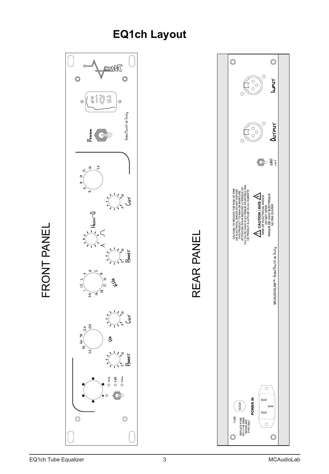## **EQ1ch Layout**



 $\sqcup$  $\overline{\phantom{a}}$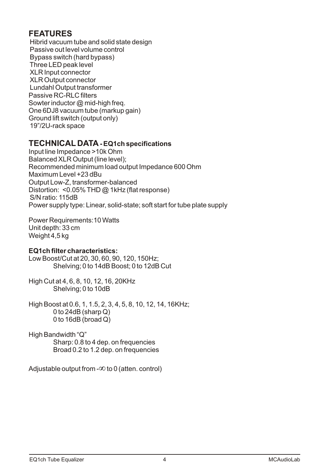### **FEATURES**

Hibrid vacuum tube and solid state design Passive out level volume control Bypass switch(hard bypass) Three LED peak level XLR Input connector XLR Output connector Lundahl Output transformer Passive RC-RLC filters Sowter inductor @ mid-high freq. One 6DJ8 vacuum tube(markup gain) Ground lift switch(o utputonly) 19"/2U-rack space

### **TECHNICAL DATA- EQ1ch specifications**

Input line Impedance >10k Ohm Balanced XLR Output (line level); Recommended minimum load output Impedance 600 Ohm Maximum Level +23dBu Output Low-Z, transformer-balanced Distortion: <0.05% THD @ 1kHz (flat response) S/N ratio: 115dB Power supply type: Linear, solid-state; soft start for tube plate supply

Power Requirements:10 Watts Weight 4,5kg Unit depth: 33cm

### **EQ1ch filter characteristics:**

Low Boost/Cut at 20, 30, 60, 90, 120, 150Hz; Shelving; 0 to 14dB Boost; 0 to 12dB Cut

High Cut at 4, 6, 8, 10, 12, 16, 20KHz Shelving; 0 to 10dB

High Boost at 0.6, 1, 1.5, 2, 3, 4, 5, 8, 10, 12, 14, 16KHz; 0 to 24dB (sharp Q) 0 to 16dB (broad Q)

High Bandwidth "Q" Sharp: 0.8 to 4 dep. on frequencies Broad 0.2 to 1.2 dep. on frequencies

Adjustable output from  $-\infty$  to 0 (atten. control)  $\infty$  to 0 (atten. control)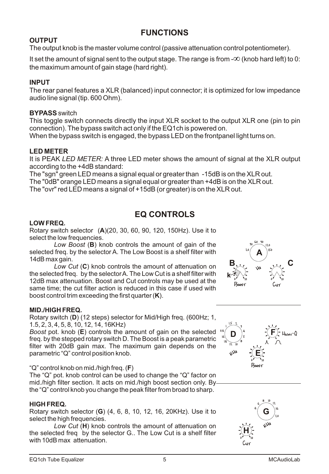### **FUNCTIONS**

### **OUTPUT**

The output knob is the master volume control (passive attenuation control potentiometer).

It set the amount of signal sent to the output stage. The range is from  $-\infty$  (knob hard left) to 0: the maximum amount of gain stage (hard right).  $\infty$  (knob hard left) to 0:

### **INPUT**

The rear panel features a XLR (balanced) input connector; it is optimized for low impedance audio line signal (tip. 600 Ohm).

### **BYPASS** switch

This toggle switch connects directly the input XLR socket to the output XLR one (pin to pin connection). The bypass switch act only if the EQ1ch is powered on.

When the bypass switch is engaged, the bypass LED on the frontpanel light turns on.

### **LED METER**

It is PEAK *LED METER:* A three LED meter shows the amount of signal at the XLR output according to the +4dB standard:

The "sgn" green LED means a signal equal or greater than -15dB is on the XLR out. The "0dB" orange LED meansa signal equal or greater than +4dB is on the XLR out. The "ovr" red LED means a signal of +15dB (or greater) is on the XLR out.

### **EQ CONTROLS**

### **LOW FREQ.**

Rotary switch selector (**A**)(20, 30, 60, 90, 120, 150Hz). Use it to select the low frequencies.

*Low Boost* (**B**) knob controls the amount of gain of the selected freq. by the selector A. The Low Boost is a shelf filter with 14dB max gain.

*Low Cut* (**C**) knob controls the amount of attenuation on the selected freq. by the selector A. The Low Cut is a shelf filter with 12dB max attenuation. Boost and Cut controls may be used at the same time; the cut filter action is reduced in this case if used with boost control trim exceeding the first quarter (**K**).



Rotary switch (**D**) (12 steps) selector for Mid/High freq. (600Hz; 1, 1.5, 2, 3, 4, 5, 8, 10, 12, 14, 16KHz)

*Boost* pot. knob (**E**) controls the amount of gain on the selected freq. by the stepped rotary switch D. The Boost is a peak parametric filter with 20dB gain max. The maximum gain depends on the parametric "Q" control position knob.

#### "Q" control knob on mid./high freq. (**F**)

The "Q" pot. knob control can be used to change the "Q" factor on mid./high filter section. It acts on mid./high boost section only. By the "Q" control knob you change the peak filter from broad to sharp.

#### **HIGH FREQ.**

Rotary switch selector (**G**) (4, 6, 8, 10, 12, 16, 20KHz). Use it to select the high frequencies.

*Low Cut* (**H**) knob controls the amount of attenuation on the selected freq by the selector G.. The Low Cut is a shelf filter with 10dB max attenuation.





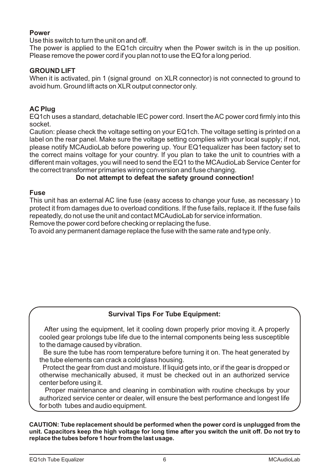#### **Power**

Use this switch to turn the unit on and off.

The power is applied to the EQ1ch circuitry when the Power switch is in the up position. Please remove the power cord if you plan not to use the EQ for a long period.

#### **GROUND LIFT**

When it is activated, pin 1 (signal ground on XLR connector) is not connected to ground to avoid hum. Ground lift acts on XLR output connector only.

#### **AC Plug**

EQ1ch uses a standard, detachable IEC power cord. Insert the AC power cord firmly into this socket.

Caution: please check the voltage setting on your EQ1ch. The voltage setting is printed on a label on the rear panel. Make sure the voltage setting complies with your local supply; if not, please notify MCAudioLab before powering up. Your EQ1equalizer has been factory set to the correct mains voltage for your country. If you plan to take the unit to countries with a different main voltages, you will need to send the EQ1 to the MCAudioLab Service Center for the correct transformer primaries wiring conversion and fuse changing.

#### **Do not attempt to defeat the safety ground connection!**

#### **Fuse**

This unit has an external AC line fuse (easy access to change your fuse, as necessary ) to protect it from damages due to overload conditions. If the fuse fails, replace it. If the fuse fails repeatedly, do not use the unit and contact MCAudioLab for service information.

Remove the power cord before checking or replacing the fuse.

To avoid any permanent damage replace the fuse with the same rate and type only.

### **Survival Tips For Tube Equipment:**

 After using the equipment, let it cooling down properly prior moving it. A properly cooled gear prolongs tube life due to the internal components being less susceptible to the damage caused by vibration.

Be sure the tube has room temperature before turning it on. The heat generated by the tube elements can crack a cold glass housing.

Protect the gear from dust and moisture. If liquid gets into, or if the gear is dropped or otherwise mechanically abused, it must be checked out in an authorized service center before using it.

Proper maintenance and cleaning in combination with routine checkups by your authorized service center or dealer, will ensure the best performance and longest life for both tubes and audio equipment.

**CAUTION: Tube replacement should be performed when the power cord is unplugged from the unit. Capacitors keep the high voltage for long time after you switch the unit off. Do not try to replace the tubes before 1 hour from the last usage.**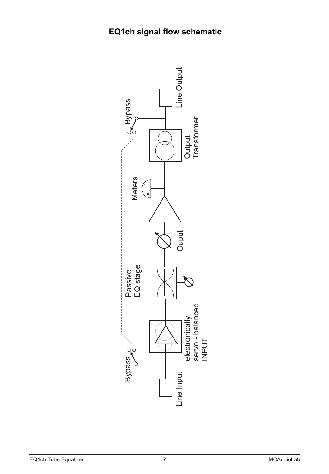